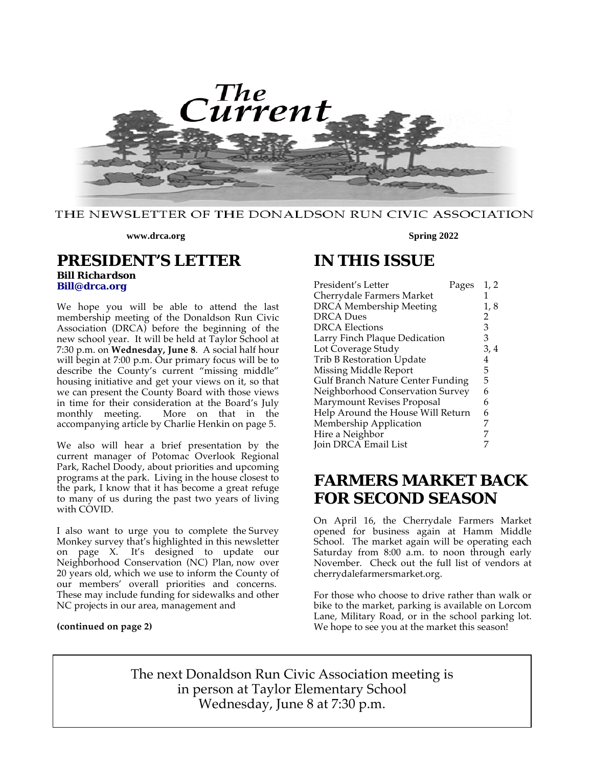

#### THE NEWSLETTER OF THE DONALDSON RUN CIVIC ASSOCIATION

**www.drca.org**

### **PRESIDENT'S LETTER**

*Bill Richardson*  **Bill@drca.org**

We hope you will be able to attend the last membership meeting of the Donaldson Run Civic Association (DRCA) before the beginning of the new school year. It will be held at Taylor School at 7:30 p.m. on **Wednesday, June 8**. A social half hour will begin at 7:00 p.m. Our primary focus will be to describe the County's current "missing middle" housing initiative and get your views on it, so that we can present the County Board with those views in time for their consideration at the Board's July monthly meeting. More on that in the accompanying article by Charlie Henkin on page 5.

We also will hear a brief presentation by the current manager of Potomac Overlook Regional Park, Rachel Doody, about priorities and upcoming programs at the park. Living in the house closest to the park, I know that it has become a great refuge to many of us during the past two years of living with COVID.

I also want to urge you to complete the Survey Monkey survey that's highlighted in this newsletter on page X. It's designed to update our Neighborhood Conservation (NC) Plan, now over 20 years old, which we use to inform the County of our members' overall priorities and concerns. These may include funding for sidewalks and other NC projects in our area, management and

#### **(continued on page 2)**

#### **Spring 2022**

# **IN THIS ISSUE**

| Cherrydale Farmers Market                     |      |
|-----------------------------------------------|------|
|                                               |      |
| <b>DRCA</b> Membership Meeting                | 1,8  |
| <b>DRCA Dues</b><br>2                         |      |
| 3<br><b>DRCA Elections</b>                    |      |
| Larry Finch Plaque Dedication<br>З            |      |
| Lot Coverage Study                            | 3, 4 |
| Trib B Restoration Update<br>4                |      |
| Missing Middle Report<br>5                    |      |
| <b>Gulf Branch Nature Center Funding</b><br>5 |      |
| Neighborhood Conservation Survey<br>6         |      |
| Marymount Revises Proposal<br>6               |      |
| Help Around the House Will Return<br>6        |      |
| Membership Application<br>7                   |      |
| Hire a Neighbor                               |      |
| Join DRCA Email List                          |      |

## **FARMERS MARKET BACK FOR SECOND SEASON**

On April 16, the Cherrydale Farmers Market opened for business again at Hamm Middle School. The market again will be operating each Saturday from 8:00 a.m. to noon through early November. Check out the full list of vendors at cherrydalefarmersmarket.org.

For those who choose to drive rather than walk or bike to the market, parking is available on Lorcom Lane, Military Road, or in the school parking lot. We hope to see you at the market this season!

The next Donaldson Run Civic Association meeting is in person at Taylor Elementary School Wednesday, June 8 at 7:30 p.m.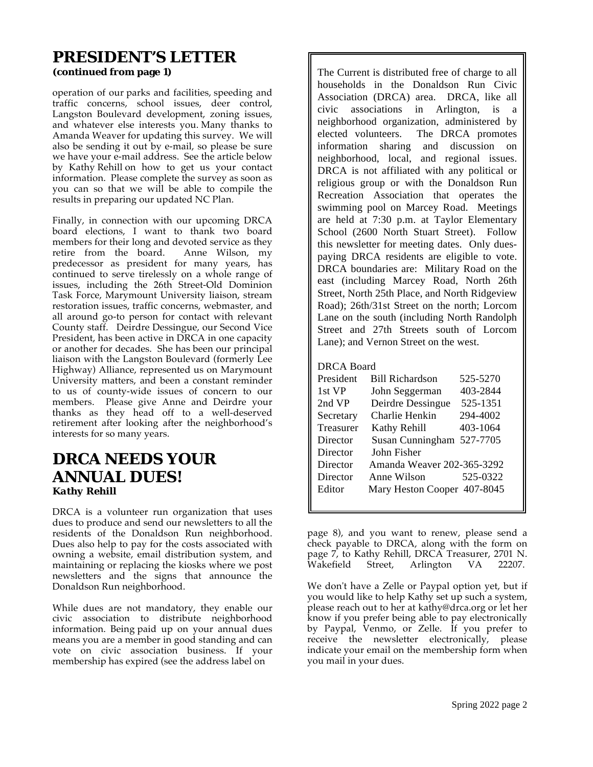# **PRESIDENT'S LETTER**

**(continued from page 1)**

operation of our parks and facilities, speeding and traffic concerns, school issues, deer control, Langston Boulevard development, zoning issues, and whatever else interests you. Many thanks to Amanda Weaver for updating this survey. We will also be sending it out by e-mail, so please be sure we have your e-mail address. See the article below by Kathy Rehill on how to get us your contact information. Please complete the survey as soon as you can so that we will be able to compile the results in preparing our updated NC Plan.

Finally, in connection with our upcoming DRCA board elections, I want to thank two board members for their long and devoted service as they retire from the board. Anne Wilson, my predecessor as president for many years, has continued to serve tirelessly on a whole range of issues, including the 26th Street-Old Dominion Task Force, Marymount University liaison, stream restoration issues, traffic concerns, webmaster, and all around go-to person for contact with relevant County staff. Deirdre Dessingue, our Second Vice President, has been active in DRCA in one capacity or another for decades. She has been our principal liaison with the Langston Boulevard (formerly Lee Highway) Alliance, represented us on Marymount University matters, and been a constant reminder to us of county-wide issues of concern to our members. Please give Anne and Deirdre your thanks as they head off to a well-deserved retirement after looking after the neighborhood's interests for so many years.

### **DRCA NEEDS YOUR ANNUAL DUES!** *Kathy Rehill*

DRCA is a volunteer run organization that uses dues to produce and send our newsletters to all the residents of the Donaldson Run neighborhood. Dues also help to pay for the costs associated with owning a website, email distribution system, and maintaining or replacing the kiosks where we post newsletters and the signs that announce the Donaldson Run neighborhood.

While dues are not mandatory, they enable our civic association to distribute neighborhood information. Being paid up on your annual dues means you are a member in good standing and can vote on civic association business. If your membership has expired (see the address label on

The Current is distributed free of charge to all households in the Donaldson Run Civic Association (DRCA) area. DRCA, like all civic associations in Arlington, is a neighborhood organization, administered by elected volunteers. The DRCA promotes information sharing and discussion on neighborhood, local, and regional issues. DRCA is not affiliated with any political or religious group or with the Donaldson Run Recreation Association that operates the swimming pool on Marcey Road. Meetings are held at 7:30 p.m. at Taylor Elementary School (2600 North Stuart Street). Follow this newsletter for meeting dates. Only duespaying DRCA residents are eligible to vote. DRCA boundaries are: Military Road on the east (including Marcey Road, North 26th Street, North 25th Place, and North Ridgeview Road); 26th/31st Street on the north; Lorcom Lane on the south (including North Randolph Street and 27th Streets south of Lorcom Lane); and Vernon Street on the west.

#### DRCA Board

| President | <b>Bill Richardson</b>      | 525-5270 |
|-----------|-----------------------------|----------|
| 1st VP    | John Seggerman              | 403-2844 |
| 2nd VP    | Deirdre Dessingue           | 525-1351 |
| Secretary | Charlie Henkin              | 294-4002 |
| Treasurer | Kathy Rehill                | 403-1064 |
| Director  | Susan Cunningham 527-7705   |          |
| Director  | John Fisher                 |          |
| Director  | Amanda Weaver 202-365-3292  |          |
| Director  | Anne Wilson                 | 525-0322 |
| Editor    | Mary Heston Cooper 407-8045 |          |
|           |                             |          |

page 8), and you want to renew, please send a check payable to DRCA, along with the form on page 7, to Kathy Rehill, DRCA Treasurer, 2701 N. Wakefield Street, Arlington VA 22207.

We don't have a Zelle or Paypal option yet, but if you would like to help Kathy set up such a system, please reach out to her at kathy@drca.org or let her know if you prefer being able to pay electronically by Paypal, Venmo, or Zelle. If you prefer to receive the newsletter electronically, please indicate your email on the membership form when you mail in your dues.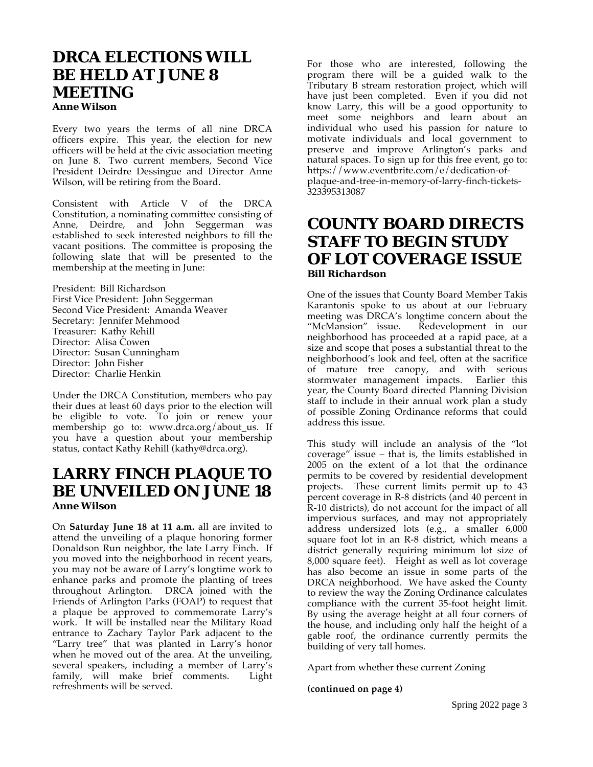### **DRCA ELECTIONS WILL BE HELD AT JUNE 8 MEETING** *Anne Wilson*

Every two years the terms of all nine DRCA officers expire. This year, the election for new officers will be held at the civic association meeting on June 8. Two current members, Second Vice President Deirdre Dessingue and Director Anne Wilson, will be retiring from the Board.

Consistent with Article V of the DRCA Constitution, a nominating committee consisting of Anne, Deirdre, and John Seggerman was established to seek interested neighbors to fill the vacant positions. The committee is proposing the following slate that will be presented to the membership at the meeting in June:

President: Bill Richardson First Vice President: John Seggerman Second Vice President: Amanda Weaver Secretary: Jennifer Mehmood Treasurer: Kathy Rehill Director: Alisa Cowen Director: Susan Cunningham Director: John Fisher Director: Charlie Henkin

Under the DRCA Constitution, members who pay their dues at least 60 days prior to the election will be eligible to vote. To join or renew your membership go to: www.drca.org/about\_us. If you have a question about your membership status, contact Kathy Rehill (kathy@drca.org).

### **LARRY FINCH PLAQUE TO BE UNVEILED ON JUNE 18** *Anne Wilson*

On **Saturday June 18 at 11 a.m.** all are invited to attend the unveiling of a plaque honoring former Donaldson Run neighbor, the late Larry Finch. If you moved into the neighborhood in recent years, you may not be aware of Larry's longtime work to enhance parks and promote the planting of trees throughout Arlington. DRCA joined with the Friends of Arlington Parks (FOAP) to request that a plaque be approved to commemorate Larry's work. It will be installed near the Military Road entrance to Zachary Taylor Park adjacent to the "Larry tree" that was planted in Larry's honor when he moved out of the area. At the unveiling, several speakers, including a member of Larry's family, will make brief comments. Light refreshments will be served.

For those who are interested, following the program there will be a guided walk to the Tributary B stream restoration project, which will have just been completed. Even if you did not know Larry, this will be a good opportunity to meet some neighbors and learn about an individual who used his passion for nature to motivate individuals and local government to preserve and improve Arlington's parks and natural spaces. To sign up for this free event, go to: https://www.eventbrite.com/e/dedication-ofplaque-and-tree-in-memory-of-larry-finch-tickets-323395313087

## **COUNTY BOARD DIRECTS STAFF TO BEGIN STUDY OF LOT COVERAGE ISSUE** *Bill Richardson*

One of the issues that County Board Member Takis Karantonis spoke to us about at our February meeting was DRCA's longtime concern about the "McMansion" issue. Redevelopment in our neighborhood has proceeded at a rapid pace, at a size and scope that poses a substantial threat to the neighborhood's look and feel, often at the sacrifice of mature tree canopy, and with serious stormwater management impacts. Earlier this year, the County Board directed Planning Division staff to include in their annual work plan a study of possible Zoning Ordinance reforms that could address this issue.

This study will include an analysis of the "lot coverage" issue – that is, the limits established in 2005 on the extent of a lot that the ordinance permits to be covered by residential development projects. These current limits permit up to 43 percent coverage in R-8 districts (and 40 percent in R-10 districts), do not account for the impact of all impervious surfaces, and may not appropriately address undersized lots (e.g., a smaller 6,000 square foot lot in an R-8 district, which means a district generally requiring minimum lot size of 8,000 square feet). Height as well as lot coverage has also become an issue in some parts of the DRCA neighborhood. We have asked the County to review the way the Zoning Ordinance calculates compliance with the current 35-foot height limit. By using the average height at all four corners of the house, and including only half the height of a gable roof, the ordinance currently permits the building of very tall homes.

Apart from whether these current Zoning

#### **(continued on page 4)**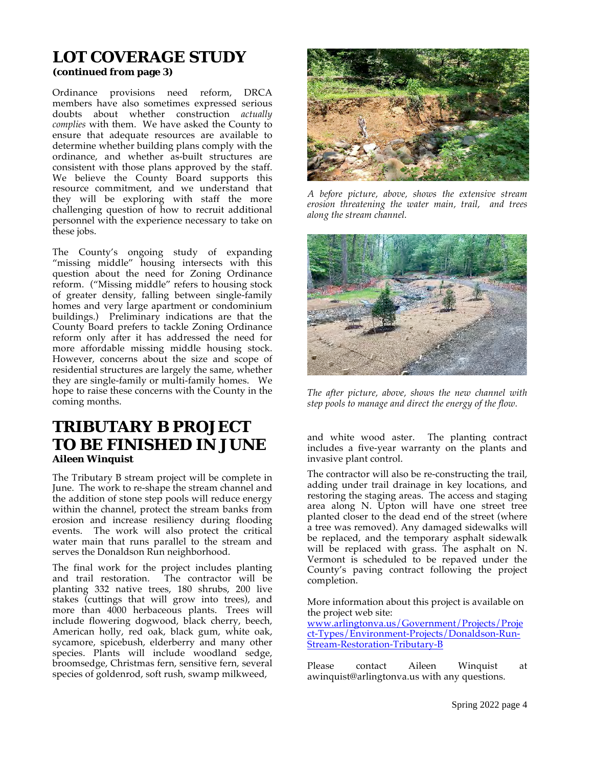# **LOT COVERAGE STUDY**

**(continued from page 3)**

Ordinance provisions need reform, DRCA members have also sometimes expressed serious doubts about whether construction *actually complies* with them. We have asked the County to ensure that adequate resources are available to determine whether building plans comply with the ordinance, and whether as-built structures are consistent with those plans approved by the staff. We believe the County Board supports this resource commitment, and we understand that they will be exploring with staff the more challenging question of how to recruit additional personnel with the experience necessary to take on these jobs.

The County's ongoing study of expanding "missing middle" housing intersects with this question about the need for Zoning Ordinance reform. ("Missing middle" refers to housing stock of greater density, falling between single-family homes and very large apartment or condominium buildings.) Preliminary indications are that the County Board prefers to tackle Zoning Ordinance reform only after it has addressed the need for more affordable missing middle housing stock. However, concerns about the size and scope of residential structures are largely the same, whether they are single-family or multi-family homes. We hope to raise these concerns with the County in the coming months.

### **TRIBUTARY B PROJECT TO BE FINISHED IN JUNE** *Aileen Winquist*

The Tributary B stream project will be complete in June. The work to re-shape the stream channel and the addition of stone step pools will reduce energy within the channel, protect the stream banks from erosion and increase resiliency during flooding events. The work will also protect the critical water main that runs parallel to the stream and serves the Donaldson Run neighborhood.

The final work for the project includes planting and trail restoration. The contractor will be planting 332 native trees, 180 shrubs, 200 live stakes (cuttings that will grow into trees), and more than 4000 herbaceous plants. Trees will include flowering dogwood, black cherry, beech, American holly, red oak, black gum, white oak, sycamore, spicebush, elderberry and many other species. Plants will include woodland sedge, broomsedge, Christmas fern, sensitive fern, several species of goldenrod, soft rush, swamp milkweed,



*A before picture, above, shows the extensive stream erosion threatening the water main, trail, and trees along the stream channel.* 



*The after picture, above, shows the new channel with step pools to manage and direct the energy of the flow.* 

and white wood aster. The planting contract includes a five-year warranty on the plants and invasive plant control.

The contractor will also be re-constructing the trail, adding under trail drainage in key locations, and restoring the staging areas. The access and staging area along N. Upton will have one street tree planted closer to the dead end of the street (where a tree was removed). Any damaged sidewalks will be replaced, and the temporary asphalt sidewalk will be replaced with grass. The asphalt on N. Vermont is scheduled to be repaved under the County's paving contract following the project completion.

More information about this project is available on the project web site:

www.arlingtonva.us/Government/Projects/Proje ct-Types/Environment-Projects/Donaldson-Run-Stream-Restoration-Tributary-B

Please contact Aileen Winquist at awinquist@arlingtonva.us with any questions.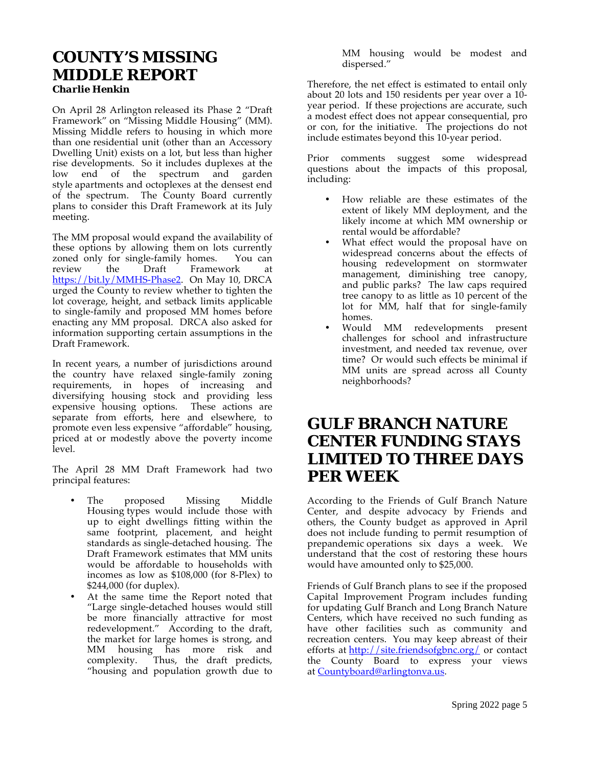# **COUNTY'S MISSING MIDDLE REPORT**

*Charlie Henkin*

On April 28 Arlington released its Phase 2 "Draft Framework" on "Missing Middle Housing" (MM). Missing Middle refers to housing in which more than one residential unit (other than an Accessory Dwelling Unit) exists on a lot, but less than higher rise developments. So it includes duplexes at the low end of the spectrum and garden style apartments and octoplexes at the densest end of the spectrum. The County Board currently plans to consider this Draft Framework at its July meeting.

The MM proposal would expand the availability of these options by allowing them on lots currently zoned only for single-family homes. You can review the Draft Framework at https://bit.ly/MMHS-Phase2. On May 10, DRCA urged the County to review whether to tighten the lot coverage, height, and setback limits applicable to single-family and proposed MM homes before enacting any MM proposal. DRCA also asked for information supporting certain assumptions in the Draft Framework.

In recent years, a number of jurisdictions around the country have relaxed single-family zoning requirements, in hopes of increasing and diversifying housing stock and providing less expensive housing options. These actions are separate from efforts, here and elsewhere, to promote even less expensive "affordable" housing, priced at or modestly above the poverty income level.

The April 28 MM Draft Framework had two principal features:

- The proposed Missing Middle Housing types would include those with up to eight dwellings fitting within the same footprint, placement, and height standards as single-detached housing. The Draft Framework estimates that MM units would be affordable to households with incomes as low as \$108,000 (for 8-Plex) to \$244,000 (for duplex).
- At the same time the Report noted that "Large single-detached houses would still be more financially attractive for most redevelopment." According to the draft, the market for large homes is strong, and MM housing has more risk and complexity. Thus, the draft predicts, "housing and population growth due to

MM housing would be modest and dispersed."

Therefore, the net effect is estimated to entail only about 20 lots and 150 residents per year over a 10 year period. If these projections are accurate, such a modest effect does not appear consequential, pro or con, for the initiative. The projections do not include estimates beyond this 10-year period.

Prior comments suggest some widespread questions about the impacts of this proposal, including:

- How reliable are these estimates of the extent of likely MM deployment, and the likely income at which MM ownership or rental would be affordable?
- What effect would the proposal have on widespread concerns about the effects of housing redevelopment on stormwater management, diminishing tree canopy, and public parks? The law caps required tree canopy to as little as 10 percent of the lot for MM, half that for single-family homes.
- Would MM redevelopments present challenges for school and infrastructure investment, and needed tax revenue, over time? Or would such effects be minimal if MM units are spread across all County neighborhoods?

## **GULF BRANCH NATURE CENTER FUNDING STAYS LIMITED TO THREE DAYS PER WEEK**

According to the Friends of Gulf Branch Nature Center, and despite advocacy by Friends and others, the County budget as approved in April does not include funding to permit resumption of prepandemic operations six days a week. We understand that the cost of restoring these hours would have amounted only to \$25,000.

Friends of Gulf Branch plans to see if the proposed Capital Improvement Program includes funding for updating Gulf Branch and Long Branch Nature Centers, which have received no such funding as have other facilities such as community and recreation centers. You may keep abreast of their efforts at http://site.friendsofgbnc.org/ or contact the County Board to express your views at Countyboard@arlingtonva.us.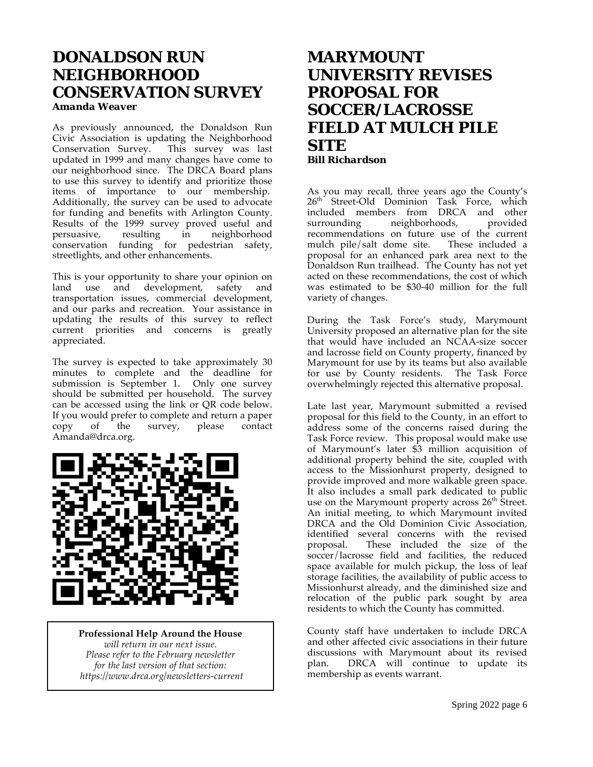# **DONALDSON RUN NEIGHBORHOOD CONSERVATION SURVEY**

*Amanda Weaver*

As previously announced, the Donaldson Run Civic Association is updating the Neighborhood Conservation Survey. This survey was last Conservation Survey. updated in 1999 and many changes have come to our neighborhood since. The DRCA Board plans to use this survey to identify and prioritize those items of importance to our membership. Additionally, the survey can be used to advocate for funding and benefits with Arlington County. Results of the 1999 survey proved useful and persuasive, resulting in neighborhood conservation funding for pedestrian safety, streetlights, and other enhancements.

This is your opportunity to share your opinion on land use and development, safety and transportation issues, commercial development, and our parks and recreation. Your assistance in updating the results of this survey to reflect current priorities and concerns is greatly appreciated.

The survey is expected to take approximately 30 minutes to complete and the deadline for submission is September 1. Only one survey should be submitted per household. The survey can be accessed using the link or QR code below. If you would prefer to complete and return a paper copy of the survey, please contact Amanda@drca.org.



**Professional Help Around the House**  *will return in our next issue. Please refer to the February newsletter for the last version of that section: https://www.drca.org/newsletters-current*

## **MARYMOUNT UNIVERSITY REVISES PROPOSAL FOR SOCCER/LACROSSE FIELD AT MULCH PILE SITE** *Bill Richardson*

As you may recall, three years ago the County's 26<sup>th</sup> Street-Old Dominion Task Force, which included members from DRCA and other<br>surrounding meighborhoods, provided neighborhoods, recommendations on future use of the current mulch pile/salt dome site. These included a proposal for an enhanced park area next to the Donaldson Run trailhead. The County has not yet acted on these recommendations, the cost of which was estimated to be \$30-40 million for the full variety of changes.

During the Task Force's study, Marymount University proposed an alternative plan for the site that would have included an NCAA-size soccer and lacrosse field on County property, financed by Marymount for use by its teams but also available for use by County residents. The Task Force overwhelmingly rejected this alternative proposal.

Late last year, Marymount submitted a revised proposal for this field to the County, in an effort to address some of the concerns raised during the Task Force review. This proposal would make use of Marymount's later \$3 million acquisition of additional property behind the site, coupled with access to the Missionhurst property, designed to provide improved and more walkable green space. It also includes a small park dedicated to public use on the Marymount property across  $26<sup>th</sup>$  Street. An initial meeting, to which Marymount invited DRCA and the Old Dominion Civic Association, identified several concerns with the revised<br>proposal. These included the size of the These included the size of the soccer/lacrosse field and facilities, the reduced space available for mulch pickup, the loss of leaf storage facilities, the availability of public access to Missionhurst already, and the diminished size and relocation of the public park sought by area residents to which the County has committed.

County staff have undertaken to include DRCA and other affected civic associations in their future discussions with Marymount about its revised plan. DRCA will continue to update its membership as events warrant.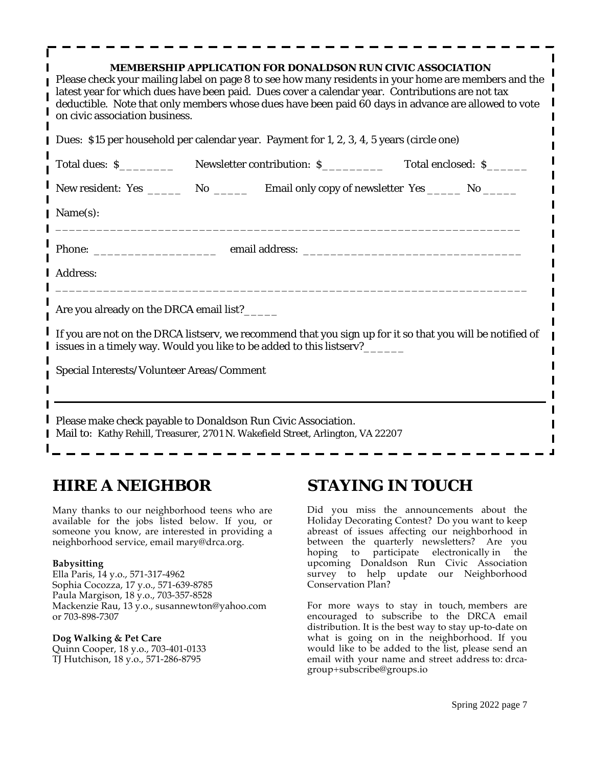| MEMBERSHIP APPLICATION FOR DONALDSON RUN CIVIC ASSOCIATION<br>Please check your mailing label on page 8 to see how many residents in your home are members and the<br>latest year for which dues have been paid. Dues cover a calendar year. Contributions are not tax<br>deductible. Note that only members whose dues have been paid 60 days in advance are allowed to vote<br>on civic association business. |                                                                                             |  |  |  |
|-----------------------------------------------------------------------------------------------------------------------------------------------------------------------------------------------------------------------------------------------------------------------------------------------------------------------------------------------------------------------------------------------------------------|---------------------------------------------------------------------------------------------|--|--|--|
| Dues: \$15 per household per calendar year. Payment for 1, 2, 3, 4, 5 years (circle one)                                                                                                                                                                                                                                                                                                                        |                                                                                             |  |  |  |
|                                                                                                                                                                                                                                                                                                                                                                                                                 |                                                                                             |  |  |  |
|                                                                                                                                                                                                                                                                                                                                                                                                                 | New resident: Yes _________ No ________ Email only copy of newsletter Yes _______ No ______ |  |  |  |
| Name(s):                                                                                                                                                                                                                                                                                                                                                                                                        |                                                                                             |  |  |  |
| Address:                                                                                                                                                                                                                                                                                                                                                                                                        |                                                                                             |  |  |  |
| Are you already on the DRCA email list?_____                                                                                                                                                                                                                                                                                                                                                                    |                                                                                             |  |  |  |
| If you are not on the DRCA listserv, we recommend that you sign up for it so that you will be notified of<br>issues in a timely way. Would you like to be added to this listserv?______                                                                                                                                                                                                                         |                                                                                             |  |  |  |
| Special Interests/Volunteer Areas/Comment                                                                                                                                                                                                                                                                                                                                                                       |                                                                                             |  |  |  |
|                                                                                                                                                                                                                                                                                                                                                                                                                 |                                                                                             |  |  |  |
| Please make check payable to Donaldson Run Civic Association.<br>Mail to: Kathy Rehill, Treasurer, 2701 N. Wakefield Street, Arlington, VA 22207                                                                                                                                                                                                                                                                |                                                                                             |  |  |  |

## **HIRE A NEIGHBOR**

Many thanks to our neighborhood teens who are available for the jobs listed below. If you, or someone you know, are interested in providing a neighborhood service, email mary@drca.org.

#### **Babysitting**

Ella Paris, 14 y.o., 571-317-4962 Sophia Cocozza, 17 y.o., 571-639-8785 Paula Margison, 18 y.o., 703-357-8528 Mackenzie Rau, 13 y.o., susannewton@yahoo.com or 703-898-7307

#### **Dog Walking & Pet Care**

Quinn Cooper, 18 y.o., 703-401-0133 TJ Hutchison, 18 y.o., 571-286-8795

## **STAYING IN TOUCH**

Did you miss the announcements about the Holiday Decorating Contest? Do you want to keep abreast of issues affecting our neighborhood in between the quarterly newsletters? Are you hoping to participate electronically in the upcoming Donaldson Run Civic Association survey to help update our Neighborhood Conservation Plan?

For more ways to stay in touch, members are encouraged to subscribe to the DRCA email distribution. It is the best way to stay up-to-date on what is going on in the neighborhood. If you would like to be added to the list, please send an email with your name and street address to: drcagroup+subscribe@groups.io